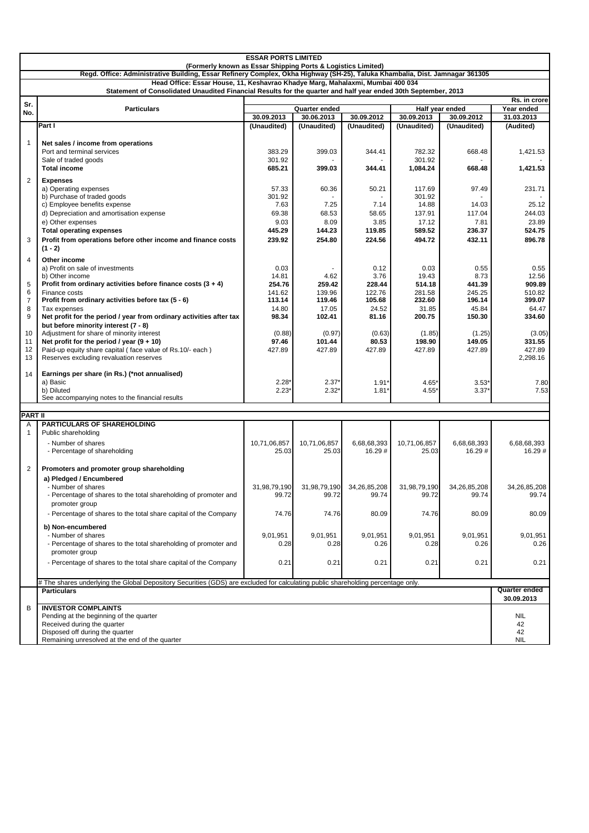|                                                                                                                                                                                              | <b>ESSAR PORTS LIMITED</b>                                                                                                       |                  |                                    |                  |                  |                               |                          |
|----------------------------------------------------------------------------------------------------------------------------------------------------------------------------------------------|----------------------------------------------------------------------------------------------------------------------------------|------------------|------------------------------------|------------------|------------------|-------------------------------|--------------------------|
| (Formerly known as Essar Shipping Ports & Logistics Limited)<br>Regd. Office: Administrative Building, Essar Refinery Complex, Okha Highway (SH-25), Taluka Khambalia, Dist. Jamnagar 361305 |                                                                                                                                  |                  |                                    |                  |                  |                               |                          |
| Head Office: Essar House, 11, Keshavrao Khadye Marg, Mahalaxmi, Mumbai 400 034                                                                                                               |                                                                                                                                  |                  |                                    |                  |                  |                               |                          |
|                                                                                                                                                                                              | Statement of Consolidated Unaudited Financial Results for the quarter and half year ended 30th September, 2013                   |                  |                                    |                  |                  |                               |                          |
| Sr.                                                                                                                                                                                          |                                                                                                                                  |                  | Rs. in crore                       |                  |                  |                               |                          |
| No.                                                                                                                                                                                          | <b>Particulars</b>                                                                                                               | 30.09.2013       | <b>Quarter ended</b><br>30.06.2013 | 30.09.2012       | 30.09.2013       | Half year ended<br>30.09.2012 | Year ended<br>31.03.2013 |
|                                                                                                                                                                                              | Part I                                                                                                                           | (Unaudited)      | (Unaudited)                        | (Unaudited)      | (Unaudited)      | (Unaudited)                   | (Audited)                |
|                                                                                                                                                                                              |                                                                                                                                  |                  |                                    |                  |                  |                               |                          |
| $\mathbf{1}$                                                                                                                                                                                 | Net sales / income from operations                                                                                               |                  |                                    |                  |                  |                               |                          |
|                                                                                                                                                                                              | Port and terminal services                                                                                                       | 383.29<br>301.92 | 399.03                             | 344.41           | 782.32<br>301.92 | 668.48                        | 1,421.53                 |
|                                                                                                                                                                                              | Sale of traded goods<br><b>Total income</b>                                                                                      | 685.21           | 399.03                             | 344.41           | 1,084.24         | 668.48                        | 1,421.53                 |
| $\overline{2}$                                                                                                                                                                               |                                                                                                                                  |                  |                                    |                  |                  |                               |                          |
|                                                                                                                                                                                              | <b>Expenses</b><br>a) Operating expenses                                                                                         | 57.33            | 60.36                              | 50.21            | 117.69           | 97.49                         | 231.71                   |
|                                                                                                                                                                                              | b) Purchase of traded goods                                                                                                      | 301.92           |                                    |                  | 301.92           |                               |                          |
|                                                                                                                                                                                              | c) Employee benefits expense                                                                                                     | 7.63             | 7.25                               | 7.14             | 14.88            | 14.03                         | 25.12                    |
|                                                                                                                                                                                              | d) Depreciation and amortisation expense                                                                                         | 69.38            | 68.53                              | 58.65            | 137.91           | 117.04                        | 244.03                   |
|                                                                                                                                                                                              | e) Other expenses<br><b>Total operating expenses</b>                                                                             | 9.03<br>445.29   | 8.09<br>144.23                     | 3.85<br>119.85   | 17.12<br>589.52  | 7.81<br>236.37                | 23.89<br>524.75          |
| 3                                                                                                                                                                                            | Profit from operations before other income and finance costs                                                                     | 239.92           | 254.80                             | 224.56           | 494.72           | 432.11                        | 896.78                   |
|                                                                                                                                                                                              | $(1 - 2)$                                                                                                                        |                  |                                    |                  |                  |                               |                          |
| 4                                                                                                                                                                                            | Other income                                                                                                                     |                  |                                    |                  |                  |                               |                          |
|                                                                                                                                                                                              | a) Profit on sale of investments                                                                                                 | 0.03             |                                    | 0.12             | 0.03             | 0.55                          | 0.55                     |
|                                                                                                                                                                                              | b) Other income                                                                                                                  | 14.81            | 4.62                               | 3.76             | 19.43            | 8.73                          | 12.56                    |
| 5<br>6                                                                                                                                                                                       | Profit from ordinary activities before finance costs $(3 + 4)$<br>Finance costs                                                  | 254.76<br>141.62 | 259.42<br>139.96                   | 228.44<br>122.76 | 514.18<br>281.58 | 441.39<br>245.25              | 909.89<br>510.82         |
| $\overline{7}$                                                                                                                                                                               | Profit from ordinary activities before tax (5 - 6)                                                                               | 113.14           | 119.46                             | 105.68           | 232.60           | 196.14                        | 399.07                   |
| 8                                                                                                                                                                                            | Tax expenses                                                                                                                     | 14.80            | 17.05                              | 24.52            | 31.85            | 45.84                         | 64.47                    |
| 9                                                                                                                                                                                            | Net profit for the period / year from ordinary activities after tax                                                              | 98.34            | 102.41                             | 81.16            | 200.75           | 150.30                        | 334.60                   |
| 10                                                                                                                                                                                           | but before minority interest (7 - 8)<br>Adjustment for share of minority interest                                                | (0.88)           | (0.97)                             | (0.63)           | (1.85)           | (1.25)                        | (3.05)                   |
| 11                                                                                                                                                                                           | Net profit for the period / year $(9 + 10)$                                                                                      | 97.46            | 101.44                             | 80.53            | 198.90           | 149.05                        | 331.55                   |
| 12                                                                                                                                                                                           | Paid-up equity share capital (face value of Rs.10/- each)                                                                        | 427.89           | 427.89                             | 427.89           | 427.89           | 427.89                        | 427.89                   |
| 13                                                                                                                                                                                           | Reserves excluding revaluation reserves                                                                                          |                  |                                    |                  |                  |                               | 2,298.16                 |
| 14                                                                                                                                                                                           | Earnings per share (in Rs.) (*not annualised)                                                                                    |                  |                                    |                  |                  |                               |                          |
|                                                                                                                                                                                              | a) Basic                                                                                                                         | $2.28*$          | $2.37*$                            | $1.91*$          | $4.65*$          | $3.53*$                       | 7.80                     |
|                                                                                                                                                                                              | b) Diluted                                                                                                                       | $2.23*$          | $2.32*$                            | 1.81             | 4.55*            | $3.37*$                       | 7.53                     |
|                                                                                                                                                                                              | See accompanying notes to the financial results                                                                                  |                  |                                    |                  |                  |                               |                          |
| <b>PART II</b>                                                                                                                                                                               |                                                                                                                                  |                  |                                    |                  |                  |                               |                          |
| A                                                                                                                                                                                            | <b>PARTICULARS OF SHAREHOLDING</b>                                                                                               |                  |                                    |                  |                  |                               |                          |
| 1                                                                                                                                                                                            | Public shareholding                                                                                                              |                  |                                    |                  |                  |                               |                          |
|                                                                                                                                                                                              | - Number of shares                                                                                                               | 10,71,06,857     | 10,71,06,857                       | 6,68,68,393      | 10,71,06,857     | 6,68,68,393                   | 6,68,68,393<br>16.29#    |
|                                                                                                                                                                                              | - Percentage of shareholding                                                                                                     | 25.03            | 25.03                              | 16.29 #          | 25.03            | 16.29 #                       |                          |
| $\overline{2}$                                                                                                                                                                               | Promoters and promoter group shareholding                                                                                        |                  |                                    |                  |                  |                               |                          |
|                                                                                                                                                                                              | a) Pledged / Encumbered                                                                                                          |                  |                                    |                  |                  |                               |                          |
|                                                                                                                                                                                              | - Number of shares                                                                                                               | 31,98,79,190     | 31,98,79,190                       | 34,26,85,208     | 31,98,79,190     | 34,26,85,208                  | 34,26,85,208             |
|                                                                                                                                                                                              | - Percentage of shares to the total shareholding of promoter and                                                                 | 99.72            | 99.72                              | 99.74            | 99.72            | 99.74                         | 99.74                    |
|                                                                                                                                                                                              | promoter group                                                                                                                   |                  |                                    |                  |                  |                               |                          |
|                                                                                                                                                                                              | - Percentage of shares to the total share capital of the Company                                                                 | 74.76            | 74.76                              | 80.09            | 74.76            | 80.09                         | 80.09                    |
|                                                                                                                                                                                              | b) Non-encumbered                                                                                                                |                  |                                    |                  |                  |                               |                          |
|                                                                                                                                                                                              | - Number of shares                                                                                                               | 9,01,951<br>0.28 | 9,01,951<br>0.28                   | 9,01,951<br>0.26 | 9,01,951<br>0.28 | 9,01,951<br>0.26              | 9,01,951<br>0.26         |
|                                                                                                                                                                                              | - Percentage of shares to the total shareholding of promoter and<br>promoter group                                               |                  |                                    |                  |                  |                               |                          |
|                                                                                                                                                                                              | - Percentage of shares to the total share capital of the Company                                                                 | 0.21             | 0.21                               | 0.21             | 0.21             | 0.21                          | 0.21                     |
|                                                                                                                                                                                              |                                                                                                                                  |                  |                                    |                  |                  |                               |                          |
|                                                                                                                                                                                              | # The shares underlying the Global Depository Securities (GDS) are excluded for calculating public shareholding percentage only. |                  |                                    |                  |                  |                               |                          |
|                                                                                                                                                                                              | <b>Particulars</b>                                                                                                               |                  |                                    |                  |                  |                               | Quarter ended            |
|                                                                                                                                                                                              |                                                                                                                                  |                  |                                    |                  |                  |                               | 30.09.2013               |
| B                                                                                                                                                                                            | <b>INVESTOR COMPLAINTS</b><br>Pending at the beginning of the quarter                                                            |                  |                                    |                  |                  |                               | <b>NIL</b>               |
|                                                                                                                                                                                              | Received during the quarter                                                                                                      |                  |                                    |                  |                  |                               | 42                       |
|                                                                                                                                                                                              | Disposed off during the quarter                                                                                                  |                  |                                    |                  |                  |                               | 42                       |
|                                                                                                                                                                                              | Remaining unresolved at the end of the quarter                                                                                   |                  |                                    |                  |                  |                               | NIL                      |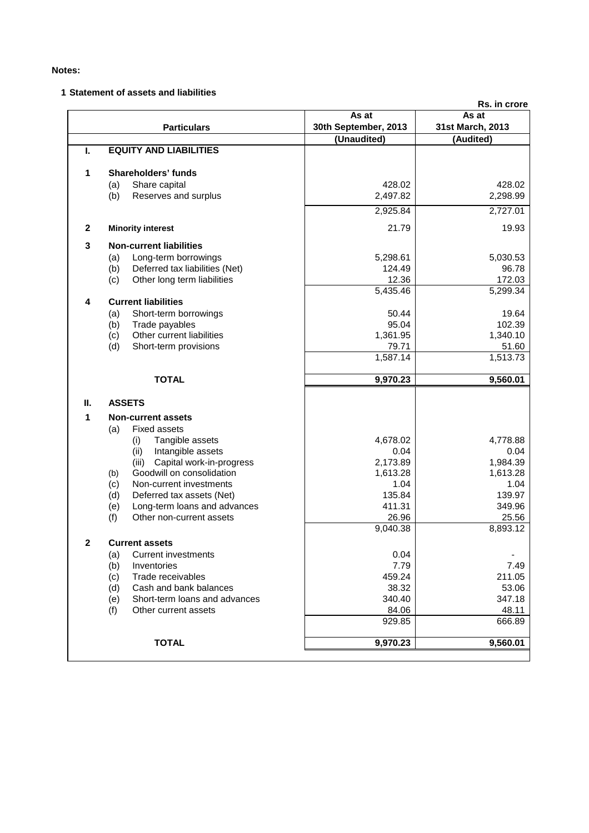## **Notes:**

## **1 Statement of assets and liabilities**

|                         |                                       |                      | Rs. in crore     |
|-------------------------|---------------------------------------|----------------------|------------------|
|                         |                                       | As at                | As at            |
|                         | <b>Particulars</b>                    | 30th September, 2013 | 31st March, 2013 |
|                         |                                       | (Unaudited)          | (Audited)        |
| Ι.                      | <b>EQUITY AND LIABILITIES</b>         |                      |                  |
| 1                       | Shareholders' funds                   |                      |                  |
|                         | (a)<br>Share capital                  | 428.02               | 428.02           |
|                         | (b)<br>Reserves and surplus           | 2,497.82             | 2,298.99         |
|                         |                                       | 2,925.84             | 2,727.01         |
| $\mathbf{2}$            | <b>Minority interest</b>              | 21.79                | 19.93            |
| 3                       | <b>Non-current liabilities</b>        |                      |                  |
|                         | Long-term borrowings<br>(a)           | 5,298.61             | 5,030.53         |
|                         | Deferred tax liabilities (Net)<br>(b) | 124.49               | 96.78            |
|                         | Other long term liabilities<br>(c)    | 12.36                | 172.03           |
|                         |                                       | 5,435.46             | 5,299.34         |
| $\overline{\mathbf{4}}$ | <b>Current liabilities</b>            |                      |                  |
|                         | Short-term borrowings<br>(a)          | 50.44                | 19.64            |
|                         | (b)<br>Trade payables                 | 95.04                | 102.39           |
|                         | Other current liabilities<br>(c)      | 1,361.95             | 1,340.10         |
|                         | (d)<br>Short-term provisions          | 79.71                | 51.60            |
|                         |                                       | 1,587.14             | 1,513.73         |
|                         |                                       |                      |                  |
|                         | <b>TOTAL</b>                          | 9,970.23             | 9,560.01         |
| Ш.                      | <b>ASSETS</b>                         |                      |                  |
| 1                       | <b>Non-current assets</b>             |                      |                  |
|                         | <b>Fixed assets</b><br>(a)            |                      |                  |
|                         | Tangible assets<br>(i)                | 4,678.02             | 4,778.88         |
|                         | (ii)<br>Intangible assets             | 0.04                 | 0.04             |
|                         | Capital work-in-progress<br>(iii)     | 2,173.89             | 1,984.39         |
|                         | Goodwill on consolidation<br>(b)      | 1,613.28             | 1,613.28         |
|                         | Non-current investments<br>(c)        | 1.04                 | 1.04             |
|                         | (d)<br>Deferred tax assets (Net)      | 135.84               | 139.97           |
|                         | Long-term loans and advances<br>(e)   | 411.31               | 349.96           |
|                         | (f)<br>Other non-current assets       | 26.96                | 25.56            |
|                         |                                       | 9,040.38             | 8,893.12         |
| $\mathbf{2}$            | Current assets                        |                      |                  |
|                         | Current investments<br>(a)            | 0.04                 |                  |
|                         | (b)<br>Inventories                    | 7.79                 | 7.49             |
|                         | (c)<br>Trade receivables              | 459.24               | 211.05           |
|                         | Cash and bank balances<br>(d)         | 38.32                | 53.06            |
|                         | Short-term loans and advances<br>(e)  | 340.40               | 347.18           |
|                         | (f)<br>Other current assets           | 84.06                | 48.11            |
|                         |                                       | 929.85               | 666.89           |
|                         | <b>TOTAL</b>                          | 9.970.23             | 9,560.01         |
|                         |                                       |                      |                  |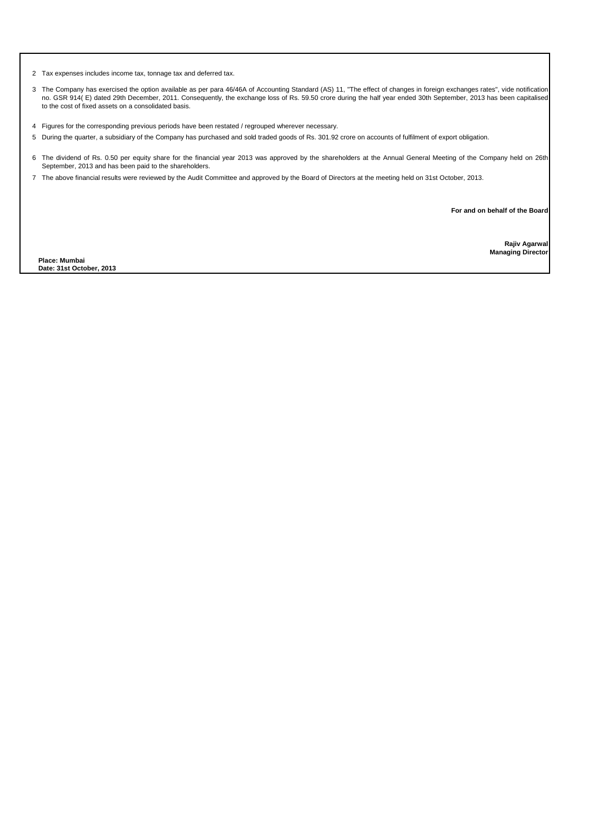2 Tax expenses includes income tax, tonnage tax and deferred tax.

- 3 The Company has exercised the option available as per para 46/46A of Accounting Standard (AS) 11, "The effect of changes in foreign exchanges rates", vide notification no. GSR 914( E) dated 29th December, 2011. Consequently, the exchange loss of Rs. 59.50 crore during the half year ended 30th September, 2013 has been capitalised to the cost of fixed assets on a consolidated basis.
- 4 Figures for the corresponding previous periods have been restated / regrouped wherever necessary.
- 5 During the quarter, a subsidiary of the Company has purchased and sold traded goods of Rs. 301.92 crore on accounts of fulfilment of export obligation.
- 6 The dividend of Rs. 0.50 per equity share for the financial year 2013 was approved by the shareholders at the Annual General Meeting of the Company held on 26th September, 2013 and has been paid to the shareholders.
- 7 The above financial results were reviewed by the Audit Committee and approved by the Board of Directors at the meeting held on 31st October, 2013.

**For and on behalf of the Board**

**Place: Mumbai Date: 31st October, 2013**

**Rajiv Agarwal Managing Director**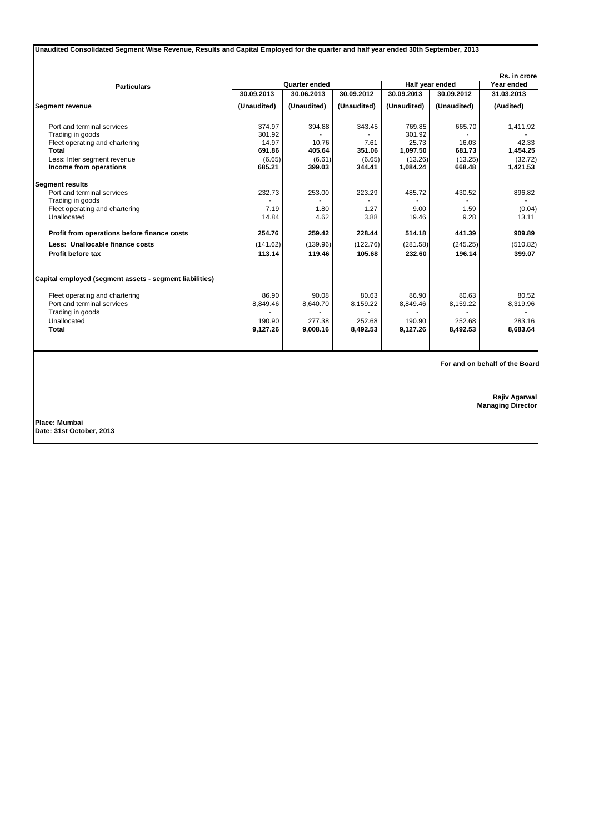|                                                         |             |               |             |                 |             | Rs. in crore |
|---------------------------------------------------------|-------------|---------------|-------------|-----------------|-------------|--------------|
| <b>Particulars</b>                                      |             | Quarter ended |             | Half year ended | Year ended  |              |
|                                                         | 30.09.2013  | 30.06.2013    | 30.09.2012  | 30.09.2013      | 30.09.2012  | 31.03.2013   |
| <b>Segment revenue</b>                                  | (Unaudited) | (Unaudited)   | (Unaudited) | (Unaudited)     | (Unaudited) | (Audited)    |
| Port and terminal services                              | 374.97      | 394.88        | 343.45      | 769.85          | 665.70      | 1,411.92     |
| Trading in goods                                        | 301.92      |               |             | 301.92          |             |              |
| Fleet operating and chartering                          | 14.97       | 10.76         | 7.61        | 25.73           | 16.03       | 42.33        |
| Total                                                   | 691.86      | 405.64        | 351.06      | 1,097.50        | 681.73      | 1,454.25     |
| Less: Inter segment revenue                             | (6.65)      | (6.61)        | (6.65)      | (13.26)         | (13.25)     | (32.72)      |
| Income from operations                                  | 685.21      | 399.03        | 344.41      | 1,084.24        | 668.48      | 1,421.53     |
| <b>Segment results</b>                                  |             |               |             |                 |             |              |
| Port and terminal services                              | 232.73      | 253.00        | 223.29      | 485.72          | 430.52      | 896.82       |
| Trading in goods                                        |             |               |             |                 |             |              |
| Fleet operating and chartering                          | 7.19        | 1.80          | 1.27        | 9.00            | 1.59        | (0.04)       |
| Unallocated                                             | 14.84       | 4.62          | 3.88        | 19.46           | 9.28        | 13.11        |
| Profit from operations before finance costs             | 254.76      | 259.42        | 228.44      | 514.18          | 441.39      | 909.89       |
| Less: Unallocable finance costs                         | (141.62)    | (139.96)      | (122.76)    | (281.58)        | (245.25)    | (510.82)     |
| Profit before tax                                       | 113.14      | 119.46        | 105.68      | 232.60          | 196.14      | 399.07       |
| Capital employed (segment assets - segment liabilities) |             |               |             |                 |             |              |
| Fleet operating and chartering                          | 86.90       | 90.08         | 80.63       | 86.90           | 80.63       | 80.52        |
| Port and terminal services                              | 8,849.46    | 8,640.70      | 8,159.22    | 8,849.46        | 8,159.22    | 8,319.96     |
| Trading in goods                                        |             |               |             |                 |             |              |
| Unallocated                                             | 190.90      | 277.38        | 252.68      | 190.90          | 252.68      | 283.16       |
| <b>Total</b>                                            | 9,127.26    | 9,008.16      | 8,492.53    | 9,127.26        | 8,492.53    | 8,683.64     |

 **For and on behalf of the Board**

**Rajiv Agarwal**

**Managing Director**

**Place: Mumbai Date: 31st October, 2013**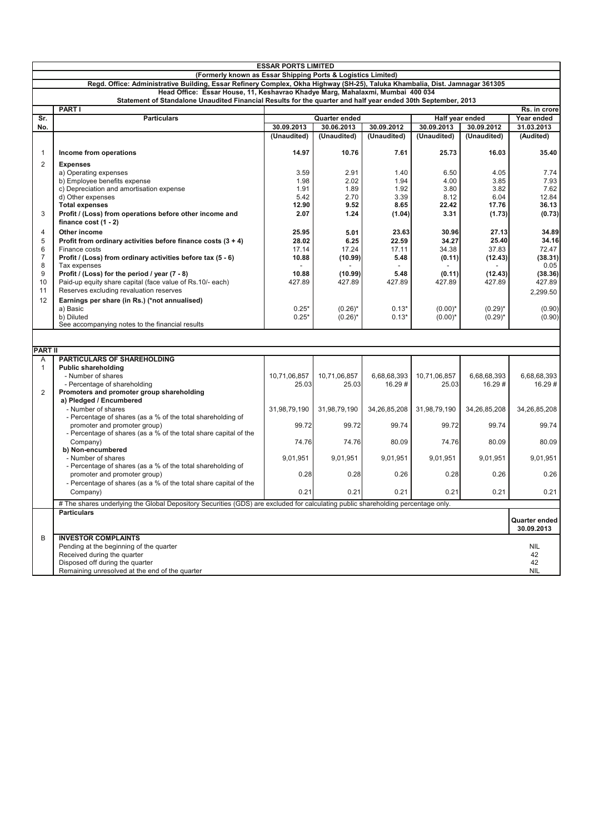|                                                              | <b>ESSAR PORTS LIMITED</b>                                                                                                                                                                     |              |               |              |                 |              |               |
|--------------------------------------------------------------|------------------------------------------------------------------------------------------------------------------------------------------------------------------------------------------------|--------------|---------------|--------------|-----------------|--------------|---------------|
| (Formerly known as Essar Shipping Ports & Logistics Limited) |                                                                                                                                                                                                |              |               |              |                 |              |               |
|                                                              | Regd. Office: Administrative Building, Essar Refinery Complex, Okha Highway (SH-25), Taluka Khambalia, Dist. Jamnagar 361305                                                                   |              |               |              |                 |              |               |
|                                                              | Head Office: Essar House, 11, Keshavrao Khadye Marg, Mahalaxmi, Mumbai 400 034<br>Statement of Standalone Unaudited Financial Results for the quarter and half year ended 30th September, 2013 |              |               |              |                 |              |               |
|                                                              | <b>PART I</b>                                                                                                                                                                                  |              |               |              |                 |              | Rs. in crore  |
| Sr.                                                          | <b>Particulars</b>                                                                                                                                                                             |              | Quarter ended |              | Half year ended |              | Year ended    |
| No.                                                          |                                                                                                                                                                                                | 30.09.2013   | 30.06.2013    | 30.09.2012   | 30.09.2013      | 30.09.2012   | 31.03.2013    |
|                                                              |                                                                                                                                                                                                | (Unaudited)  | (Unaudited)   | (Unaudited)  | (Unaudited)     | (Unaudited)  | (Audited)     |
|                                                              |                                                                                                                                                                                                | 14.97        |               |              |                 |              |               |
| $\mathbf{1}$                                                 | Income from operations                                                                                                                                                                         |              | 10.76         | 7.61         | 25.73           | 16.03        | 35.40         |
| 2                                                            | <b>Expenses</b>                                                                                                                                                                                |              |               |              |                 | 4.05         |               |
|                                                              | a) Operating expenses<br>b) Employee benefits expense                                                                                                                                          | 3.59<br>1.98 | 2.91<br>2.02  | 1.40<br>1.94 | 6.50<br>4.00    | 3.85         | 7.74<br>7.93  |
|                                                              | c) Depreciation and amortisation expense                                                                                                                                                       | 1.91         | 1.89          | 1.92         | 3.80            | 3.82         | 7.62          |
|                                                              | d) Other expenses                                                                                                                                                                              | 5.42         | 2.70          | 3.39         | 8.12            | 6.04         | 12.84         |
|                                                              | <b>Total expenses</b>                                                                                                                                                                          | 12.90        | 9.52          | 8.65         | 22.42           | 17.76        | 36.13         |
| 3                                                            | Profit / (Loss) from operations before other income and                                                                                                                                        | 2.07         | 1.24          | (1.04)       | 3.31            | (1.73)       | (0.73)        |
|                                                              | finance $cost(1 - 2)$                                                                                                                                                                          |              |               |              |                 |              |               |
| $\overline{4}$                                               | Other income                                                                                                                                                                                   | 25.95        | 5.01          | 23.63        | 30.96           | 27.13        | 34.89         |
| 5                                                            | Profit from ordinary activities before finance costs $(3 + 4)$                                                                                                                                 | 28.02        | 6.25          | 22.59        | 34.27           | 25.40        | 34.16         |
| 6                                                            | Finance costs                                                                                                                                                                                  | 17.14        | 17.24         | 17.11        | 34.38           | 37.83        | 72.47         |
| $\overline{7}$                                               | Profit / (Loss) from ordinary activities before tax (5 - 6)                                                                                                                                    | 10.88        | (10.99)       | 5.48         | (0.11)          | (12.43)      | (38.31)       |
| 8                                                            | Tax expenses                                                                                                                                                                                   |              |               |              |                 |              | 0.05          |
| 9                                                            | Profit / (Loss) for the period / year (7 - 8)                                                                                                                                                  | 10.88        | (10.99)       | 5.48         | (0.11)          | (12.43)      | (38.36)       |
| 10                                                           | Paid-up equity share capital (face value of Rs.10/- each)                                                                                                                                      | 427.89       | 427.89        | 427.89       | 427.89          | 427.89       | 427.89        |
| 11                                                           | Reserves excluding revaluation reserves                                                                                                                                                        |              |               |              |                 |              | 2,299.50      |
| 12                                                           | Earnings per share (in Rs.) (*not annualised)                                                                                                                                                  |              |               |              |                 |              |               |
|                                                              | a) Basic                                                                                                                                                                                       | $0.25*$      | $(0.26)^*$    | $0.13*$      | $(0.00)^*$      | $(0.29)^*$   | (0.90)        |
|                                                              | b) Diluted                                                                                                                                                                                     | $0.25*$      | $(0.26)^*$    | $0.13*$      | $(0.00)*$       | $(0.29)^*$   | (0.90)        |
|                                                              | See accompanying notes to the financial results                                                                                                                                                |              |               |              |                 |              |               |
|                                                              |                                                                                                                                                                                                |              |               |              |                 |              |               |
| <b>PART II</b>                                               |                                                                                                                                                                                                |              |               |              |                 |              |               |
| A                                                            | <b>PARTICULARS OF SHAREHOLDING</b>                                                                                                                                                             |              |               |              |                 |              |               |
| 1                                                            | <b>Public shareholding</b>                                                                                                                                                                     |              |               |              |                 |              |               |
|                                                              | - Number of shares                                                                                                                                                                             | 10,71,06,857 | 10,71,06,857  | 6,68,68,393  | 10,71,06,857    | 6,68,68,393  | 6,68,68,393   |
|                                                              | - Percentage of shareholding                                                                                                                                                                   | 25.03        | 25.03         | 16.29#       | 25.03           | 16.29#       | 16.29#        |
| 2                                                            | Promoters and promoter group shareholding                                                                                                                                                      |              |               |              |                 |              |               |
|                                                              | a) Pledged / Encumbered                                                                                                                                                                        |              |               |              |                 |              |               |
|                                                              | - Number of shares                                                                                                                                                                             | 31,98,79,190 | 31.98.79.190  | 34,26,85,208 | 31.98.79.190    | 34,26,85,208 | 34,26,85,208  |
|                                                              | - Percentage of shares (as a % of the total shareholding of                                                                                                                                    |              |               |              |                 |              |               |
|                                                              | promoter and promoter group)                                                                                                                                                                   | 99.72        | 99.72         | 99.74        | 99.72           | 99.74        | 99.74         |
|                                                              | - Percentage of shares (as a % of the total share capital of the                                                                                                                               |              |               |              |                 |              |               |
|                                                              | Company)                                                                                                                                                                                       | 74.76        | 74.76         | 80.09        | 74.76           | 80.09        | 80.09         |
|                                                              | b) Non-encumbered                                                                                                                                                                              |              |               |              |                 |              |               |
|                                                              | - Number of shares<br>- Percentage of shares (as a % of the total shareholding of                                                                                                              | 9,01,951     | 9,01,951      | 9,01,951     | 9,01,951        | 9,01,951     | 9,01,951      |
|                                                              | promoter and promoter group)                                                                                                                                                                   | 0.28         | 0.28          | 0.26         | 0.28            | 0.26         | 0.26          |
|                                                              | - Percentage of shares (as a % of the total share capital of the                                                                                                                               |              |               |              |                 |              |               |
|                                                              | Company)                                                                                                                                                                                       | 0.21         | 0.21          | 0.21         | 0.21            | 0.21         | 0.21          |
|                                                              | # The shares underlying the Global Depository Securities (GDS) are excluded for calculating public shareholding percentage only.                                                               |              |               |              |                 |              |               |
|                                                              | <b>Particulars</b>                                                                                                                                                                             |              |               |              |                 |              |               |
|                                                              |                                                                                                                                                                                                |              |               |              |                 |              | Quarter ended |
|                                                              |                                                                                                                                                                                                |              |               |              |                 |              | 30.09.2013    |
| B                                                            | <b>INVESTOR COMPLAINTS</b>                                                                                                                                                                     |              |               |              |                 |              |               |
|                                                              | Pending at the beginning of the quarter                                                                                                                                                        |              |               |              |                 |              | <b>NIL</b>    |
|                                                              | Received during the quarter                                                                                                                                                                    |              |               |              |                 |              | 42            |
|                                                              | Disposed off during the quarter                                                                                                                                                                |              |               |              |                 |              | 42            |
|                                                              | Remaining unresolved at the end of the quarter                                                                                                                                                 |              |               |              |                 |              | <b>NIL</b>    |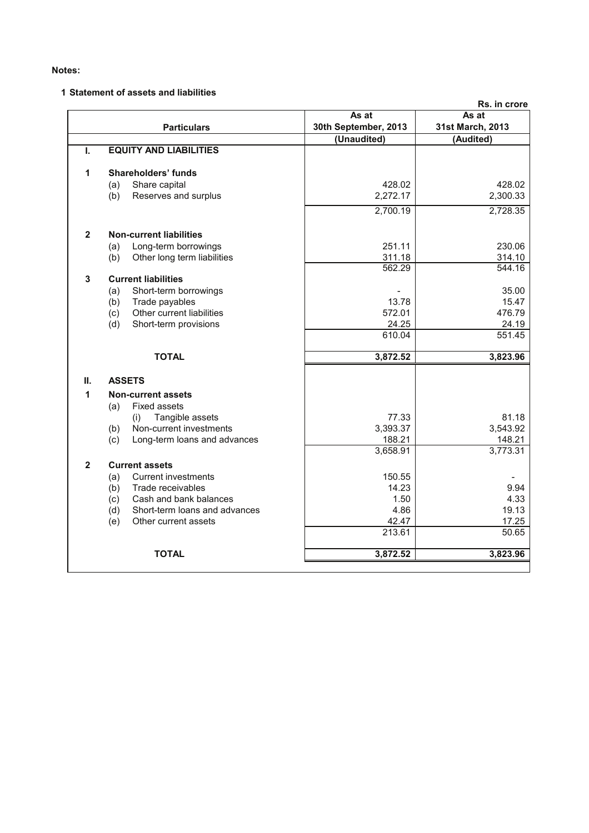## **Notes:**

## **1 Statement of assets and liabilities**

|                                      |                                                                                                                                                                                                                          | Rs. in crore                                                              |
|--------------------------------------|--------------------------------------------------------------------------------------------------------------------------------------------------------------------------------------------------------------------------|---------------------------------------------------------------------------|
|                                      | As at                                                                                                                                                                                                                    | As at                                                                     |
| <b>Particulars</b>                   |                                                                                                                                                                                                                          | 31st March, 2013                                                          |
|                                      |                                                                                                                                                                                                                          | (Audited)                                                                 |
|                                      |                                                                                                                                                                                                                          |                                                                           |
| <b>Shareholders' funds</b>           |                                                                                                                                                                                                                          |                                                                           |
| Share capital                        | 428.02                                                                                                                                                                                                                   | 428.02                                                                    |
| Reserves and surplus<br>(b)          | 2,272.17                                                                                                                                                                                                                 | 2,300.33                                                                  |
|                                      | 2,700.19                                                                                                                                                                                                                 | 2,728.35                                                                  |
| <b>Non-current liabilities</b>       |                                                                                                                                                                                                                          |                                                                           |
| Long-term borrowings<br>(a)          | 251.11                                                                                                                                                                                                                   | 230.06                                                                    |
| Other long term liabilities<br>(b)   | 311.18                                                                                                                                                                                                                   | 314.10                                                                    |
|                                      | 562.29                                                                                                                                                                                                                   | 544.16                                                                    |
| <b>Current liabilities</b>           |                                                                                                                                                                                                                          |                                                                           |
| (a)                                  |                                                                                                                                                                                                                          | 35.00                                                                     |
|                                      |                                                                                                                                                                                                                          | 15.47                                                                     |
|                                      |                                                                                                                                                                                                                          | 476.79                                                                    |
|                                      |                                                                                                                                                                                                                          | 24.19                                                                     |
|                                      |                                                                                                                                                                                                                          | 551.45                                                                    |
| <b>TOTAL</b>                         | 3,872.52                                                                                                                                                                                                                 | 3,823.96                                                                  |
| <b>ASSETS</b>                        |                                                                                                                                                                                                                          |                                                                           |
|                                      |                                                                                                                                                                                                                          |                                                                           |
| <b>Fixed assets</b>                  |                                                                                                                                                                                                                          |                                                                           |
| (i)                                  | 77.33                                                                                                                                                                                                                    | 81.18                                                                     |
| Non-current investments<br>(b)       | 3,393.37                                                                                                                                                                                                                 | 3,543.92                                                                  |
| Long-term loans and advances<br>(c)  | 188.21                                                                                                                                                                                                                   | 148.21                                                                    |
|                                      | 3,658.91                                                                                                                                                                                                                 | 3,773.31                                                                  |
| <b>Current assets</b>                |                                                                                                                                                                                                                          |                                                                           |
| <b>Current investments</b>           | 150.55                                                                                                                                                                                                                   |                                                                           |
| Trade receivables<br>(b)             | 14.23                                                                                                                                                                                                                    | 9.94                                                                      |
| Cash and bank balances<br>(c)        | 1.50                                                                                                                                                                                                                     | 4.33                                                                      |
| (d)<br>Short-term loans and advances | 4.86                                                                                                                                                                                                                     | 19.13                                                                     |
| (e)<br>Other current assets          | 42.47                                                                                                                                                                                                                    | 17.25                                                                     |
|                                      | 213.61                                                                                                                                                                                                                   | 50.65                                                                     |
| <b>TOTAL</b>                         | 3,872.52                                                                                                                                                                                                                 | 3,823.96                                                                  |
|                                      | <b>EQUITY AND LIABILITIES</b><br>(a)<br>Short-term borrowings<br>Trade payables<br>(b)<br>Other current liabilities<br>(c)<br>(d)<br>Short-term provisions<br><b>Non-current assets</b><br>(a)<br>Tangible assets<br>(a) | 30th September, 2013<br>(Unaudited)<br>13.78<br>572.01<br>24.25<br>610.04 |